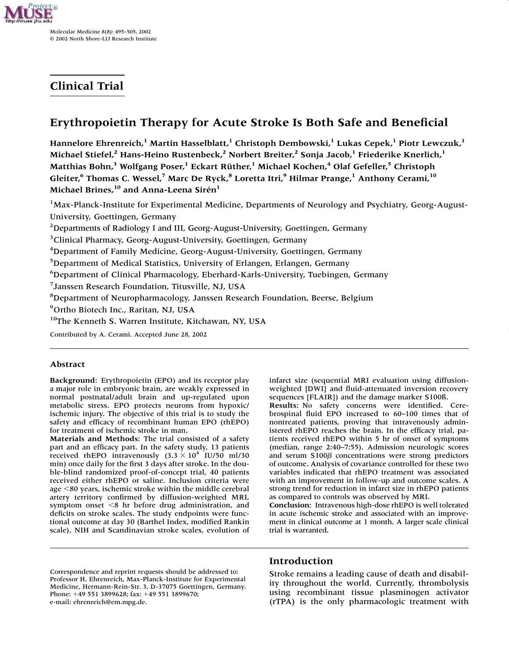

# **Clinical Trial**

# **Erythropoietin Therapy for Acute Stroke Is Both Safe and Beneficial**

**Hannelore Ehrenreich,1 Martin Hasselblatt,<sup>1</sup> Christoph Dembowski,1 Lukas Cepek,<sup>1</sup> Piotr Lewczuk,1 Michael Stiefel,2 Hans-Heino Rustenbeck,2 Norbert Breiter,<sup>2</sup> Sonja Jacob,1 Friederike Knerlich,1 Matthias Bohn,3 Wolfgang Poser,1 Eckart Rüther,1 Michael Kochen,4 Olaf Gefeller,<sup>5</sup> Christoph Gleiter,<sup>6</sup> Thomas C. Wessel,7 Marc De Ryck,8 Loretta Itri,<sup>9</sup> Hilmar Prange,1 Anthony Cerami,10 Michael Brines,10 and Anna-Leena Sirén<sup>1</sup>**

<sup>1</sup>Max-Planck-Institute for Experimental Medicine, Departments of Neurology and Psychiatry, Georg-August-University, Goettingen, Germany

<sup>2</sup>Departments of Radiology I and III, Georg-August-University, Goettingen, Germany

<sup>3</sup> Clinical Pharmacy, Georg-August-University, Goettingen, Germany

<sup>4</sup>Department of Family Medicine, Georg-August-University, Goettingen, Germany

<sup>5</sup>Department of Medical Statistics, University of Erlangen, Erlangen, Germany

6 Department of Clinical Pharmacology, Eberhard-Karls-University, Tuebingen, Germany

7 Janssen Research Foundation, Titusville, NJ, USA

8 Department of Neuropharmacology, Janssen Research Foundation, Beerse, Belgium

9 Ortho Biotech Inc., Raritan, NJ, USA

<sup>10</sup>The Kenneth S. Warren Institute, Kitchawan, NY, USA

Contributed by A. Cerami. Accepted June 28, 2002

## **Abstract**

**Background:** Erythropoietin (EPO) and its receptor play a major role in embryonic brain, are weakly expressed in normal postnatal/adult brain and up-regulated upon metabolic stress. EPO protects neurons from hypoxic/ ischemic injury. The objective of this trial is to study the safety and efficacy of recombinant human EPO (rhEPO) for treatment of ischemic stroke in man.

**Materials and Methods:** The trial consisted of a safety part and an efficacy part. In the safety study, 13 patients received rhEPO intravenously  $(3.3 \times 10^4 \text{ T}$ U/50 ml/30 min) once daily for the first 3 days after stroke. In the double-blind randomized proof-of-concept trial, 40 patients received either rhEPO or saline. Inclusion criteria were age <80 years, ischemic stroke within the middle cerebral artery territory confirmed by diffusion-weighted MRI, symptom onset  $\leq 8$  hr before drug administration, and deficits on stroke scales. The study endpoints were functional outcome at day 30 (Barthel Index, modified Rankin scale), NIH and Scandinavian stroke scales, evolution of

infarct size (sequential MRI evaluation using diffusionweighted [DWI] and fluid-attenuated inversion recovery sequences [FLAIR]) and the damage marker S100ß.

**Results:** No safety concerns were identified. Cerebrospinal fluid EPO increased to 60–100 times that of nontreated patients, proving that intravenously administered rhEPO reaches the brain. In the efficacy trial, patients received rhEPO within 5 hr of onset of symptoms (median, range 2:40–7:55). Admission neurologic scores and serum S100 $\beta$  concentrations were strong predictors of outcome. Analysis of covariance controlled for these two variables indicated that rhEPO treatment was associated with an improvement in follow-up and outcome scales. A strong trend for reduction in infarct size in rhEPO patients as compared to controls was observed by MRI.

**Conclusion:** Intravenous high-dose rhEPO is well tolerated in acute ischemic stroke and associated with an improvement in clinical outcome at 1 month. A larger scale clinical trial is warranted.

# **Introduction**

Stroke remains a leading cause of death and disability throughout the world. Currently, thrombolysis using recombinant tissue plasminogen activator (rTPA) is the only pharmacologic treatment with

Correspondence and reprint requests should be addressed to: Professor H. Ehrenreich, Max-Planck-Institute for Experimental Medicine, Hermann-Rein-Str. 3, D-37075 Goettingen, Germany. Phone: 49 551 3899628; fax: 49 551 3899670; e-mail: ehrenreich@em.mpg.de.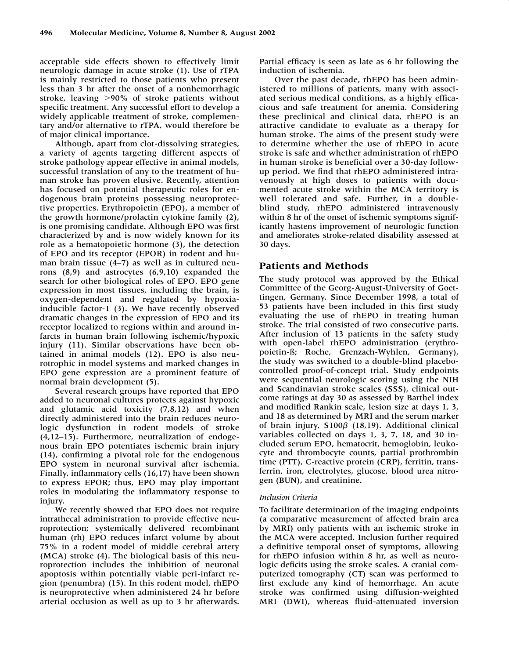acceptable side effects shown to effectively limit neurologic damage in acute stroke (1). Use of rTPA is mainly restricted to those patients who present less than 3 hr after the onset of a nonhemorrhagic stroke, leaving  $>90\%$  of stroke patients without specific treatment. Any successful effort to develop a widely applicable treatment of stroke, complementary and/or alternative to rTPA, would therefore be of major clinical importance.

Although, apart from clot-dissolving strategies, a variety of agents targeting different aspects of stroke pathology appear effective in animal models, successful translation of any to the treatment of human stroke has proven elusive. Recently, attention has focused on potential therapeutic roles for endogenous brain proteins possessing neuroprotective properties. Erythropoietin (EPO), a member of the growth hormone/prolactin cytokine family (2), is one promising candidate. Although EPO was first characterized by and is now widely known for its role as a hematopoietic hormone (3), the detection of EPO and its receptor (EPOR) in rodent and human brain tissue (4–7) as well as in cultured neurons (8,9) and astrocytes (6,9,10) expanded the search for other biological roles of EPO. EPO gene expression in most tissues, including the brain, is oxygen-dependent and regulated by hypoxiainducible factor-1 (3). We have recently observed dramatic changes in the expression of EPO and its receptor localized to regions within and around infarcts in human brain following ischemic/hypoxic injury (11). Similar observations have been obtained in animal models (12). EPO is also neurotrophic in model systems and marked changes in EPO gene expression are a prominent feature of normal brain development (5).

Several research groups have reported that EPO added to neuronal cultures protects against hypoxic and glutamic acid toxicity (7,8,12) and when directly administered into the brain reduces neurologic dysfunction in rodent models of stroke (4,12–15). Furthermore, neutralization of endogenous brain EPO potentiates ischemic brain injury (14), confirming a pivotal role for the endogenous EPO system in neuronal survival after ischemia. Finally, inflammatory cells (16,17) have been shown to express EPOR; thus, EPO may play important roles in modulating the inflammatory response to injury.

We recently showed that EPO does not require intrathecal administration to provide effective neuroprotection; systemically delivered recombinant human (rh) EPO reduces infarct volume by about 75% in a rodent model of middle cerebral artery (MCA) stroke (4). The biological basis of this neuroprotection includes the inhibition of neuronal apoptosis within potentially viable peri-infarct region (penumbra) (15). In this rodent model, rhEPO is neuroprotective when administered 24 hr before arterial occlusion as well as up to 3 hr afterwards.

Partial efficacy is seen as late as 6 hr following the induction of ischemia.

Over the past decade, rhEPO has been administered to millions of patients, many with associated serious medical conditions, as a highly efficacious and safe treatment for anemia. Considering these preclinical and clinical data, rhEPO is an attractive candidate to evaluate as a therapy for human stroke. The aims of the present study were to determine whether the use of rhEPO in acute stroke is safe and whether administration of rhEPO in human stroke is beneficial over a 30-day followup period. We find that rhEPO administered intravenously at high doses to patients with documented acute stroke within the MCA territory is well tolerated and safe. Further, in a doubleblind study, rhEPO administered intravenously within 8 hr of the onset of ischemic symptoms significantly hastens improvement of neurologic function and ameliorates stroke-related disability assessed at 30 days.

## **Patients and Methods**

The study protocol was approved by the Ethical Committee of the Georg-August-University of Goettingen, Germany. Since December 1998, a total of 53 patients have been included in this first study evaluating the use of rhEPO in treating human stroke. The trial consisted of two consecutive parts. After inclusion of 13 patients in the safety study with open-label rhEPO administration (erythropoietin-ß; Roche, Grenzach-Wyhlen, Germany), the study was switched to a double-blind placebocontrolled proof-of-concept trial. Study endpoints were sequential neurologic scoring using the NIH and Scandinavian stroke scales (SSS), clinical outcome ratings at day 30 as assessed by Barthel index and modified Rankin scale, lesion size at days 1, 3, and 18 as determined by MRI and the serum marker of brain injury, S100<sup> $\beta$ </sup> (18,19). Additional clinical variables collected on days 1, 3, 7, 18, and 30 included serum EPO, hematocrit, hemoglobin, leukocyte and thrombocyte counts, partial prothrombin time (PTT), C-reactive protein (CRP), ferritin, transferrin, iron, electrolytes, glucose, blood urea nitrogen (BUN), and creatinine.

## *Inclusion Criteria*

To facilitate determination of the imaging endpoints (a comparative measurement of affected brain area by MRI) only patients with an ischemic stroke in the MCA were accepted. Inclusion further required a definitive temporal onset of symptoms, allowing for rhEPO infusion within 8 hr, as well as neurologic deficits using the stroke scales. A cranial computerized tomography (CT) scan was performed to first exclude any kind of hemorrhage. An acute stroke was confirmed using diffusion-weighted MRI (DWI), whereas fluid-attenuated inversion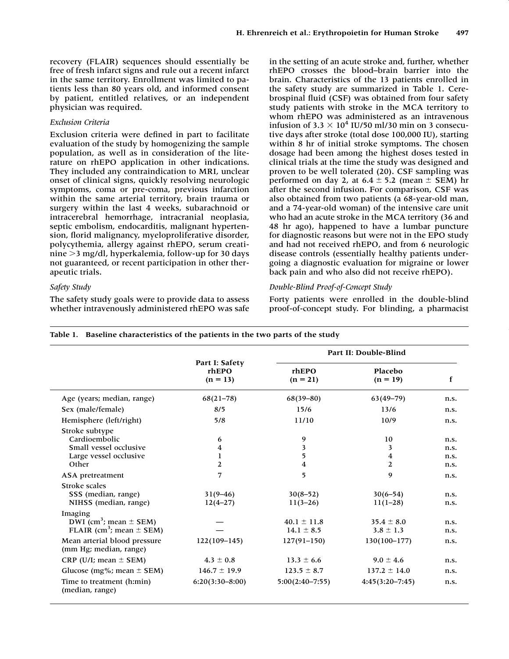recovery (FLAIR) sequences should essentially be free of fresh infarct signs and rule out a recent infarct in the same territory. Enrollment was limited to patients less than 80 years old, and informed consent by patient, entitled relatives, or an independent physician was required.

## *Exclusion Criteria*

Exclusion criteria were defined in part to facilitate evaluation of the study by homogenizing the sample population, as well as in consideration of the literature on rhEPO application in other indications. They included any contraindication to MRI, unclear onset of clinical signs, quickly resolving neurologic symptoms, coma or pre-coma, previous infarction within the same arterial territory, brain trauma or surgery within the last 4 weeks, subarachnoid or intracerebral hemorrhage, intracranial neoplasia, septic embolism, endocarditis, malignant hypertension, florid malignancy, myeloproliferative disorder, polycythemia, allergy against rhEPO, serum creatinine 3 mg/dl, hyperkalemia, follow-up for 30 days not guaranteed, or recent participation in other therapeutic trials.

### *Safety Study*

The safety study goals were to provide data to assess whether intravenously administered rhEPO was safe

in the setting of an acute stroke and, further, whether rhEPO crosses the blood–brain barrier into the brain. Characteristics of the 13 patients enrolled in the safety study are summarized in Table 1. Cerebrospinal fluid (CSF) was obtained from four safety study patients with stroke in the MCA territory to whom rhEPO was administered as an intravenous infusion of 3.3  $\times$  10<sup>4</sup> IU/50 ml/30 min on 3 consecutive days after stroke (total dose 100,000 IU), starting within 8 hr of initial stroke symptoms. The chosen dosage had been among the highest doses tested in clinical trials at the time the study was designed and proven to be well tolerated (20). CSF sampling was performed on day 2, at  $6.4 \pm 5.2$  (mean  $\pm$  SEM) hr after the second infusion. For comparison, CSF was also obtained from two patients (a 68-year-old man, and a 74-year-old woman) of the intensive care unit who had an acute stroke in the MCA territory (36 and 48 hr ago), happened to have a lumbar puncture for diagnostic reasons but were not in the EPO study and had not received rhEPO, and from 6 neurologic disease controls (essentially healthy patients undergoing a diagnostic evaluation for migraine or lower back pain and who also did not receive rhEPO).

## *Double-Blind Proof-of-Concept Study*

Forty patients were enrolled in the double-blind proof-of-concept study. For blinding, a pharmacist

|                                                                                               |                                       |                                        | Part II: Double-Blind           |                              |
|-----------------------------------------------------------------------------------------------|---------------------------------------|----------------------------------------|---------------------------------|------------------------------|
|                                                                                               | Part I: Safety<br>rhEPO<br>$(n = 13)$ | rhEPO<br>$(n = 21)$                    | Placebo<br>$(n = 19)$           | $\mathbf f$                  |
| Age (years; median, range)                                                                    | $68(21 - 78)$                         | $68(39 - 80)$                          | $63(49 - 79)$                   | n.s.                         |
| Sex (male/female)                                                                             | 8/5                                   | 15/6                                   | 13/6                            | n.s.                         |
| Hemisphere (left/right)                                                                       | 5/8                                   | 11/10                                  | 10/9                            | n.s.                         |
| Stroke subtype<br>Cardioembolic<br>Small vessel occlusive<br>Large vessel occlusive<br>Other  | 6<br>4<br>1<br>$\overline{2}$         | 9<br>3<br>5<br>$\overline{\mathbf{4}}$ | 10<br>3<br>$\overline{4}$<br>2  | n.s.<br>n.s.<br>n.s.<br>n.s. |
| ASA pretreatment                                                                              | 7                                     | 5                                      | 9                               | n.s.                         |
| Stroke scales<br>SSS (median, range)<br>NIHSS (median, range)                                 | $31(9-46)$<br>$12(4 - 27)$            | $30(8-52)$<br>$11(3-26)$               | $30(6 - 54)$<br>$11(1-28)$      | n.s.<br>n.s.                 |
| Imaging<br>DWI (cm <sup>3</sup> ; mean $\pm$ SEM)<br>FLAIR (cm <sup>3</sup> ; mean $\pm$ SEM) |                                       | $40.1 \pm 11.8$<br>$14.1 \pm 8.5$      | $35.4 \pm 8.0$<br>$3.8 \pm 1.3$ | n.s.<br>n.s.                 |
| Mean arterial blood pressure<br>(mm Hg; median, range)                                        | $122(109-145)$                        | $127(91-150)$                          | $130(100 - 177)$                | n.s.                         |
| CRP (U/I; mean $\pm$ SEM)                                                                     | $4.3 \pm 0.8$                         | $13.3 \pm 6.6$                         | $9.0 \pm 4.6$                   | n.s.                         |
| Glucose (mg%; mean $\pm$ SEM)                                                                 | $146.7 \pm 19.9$                      | $123.5 \pm 8.7$                        | $137.2 \pm 14.0$                | n.s.                         |
| Time to treatment (h:min)<br>(median, range)                                                  | $6:20(3:30-8:00)$                     | $5:00(2:40-7:55)$                      | $4:45(3:20-7:45)$               | n.s.                         |

**Table 1. Baseline characteristics of the patients in the two parts of the study**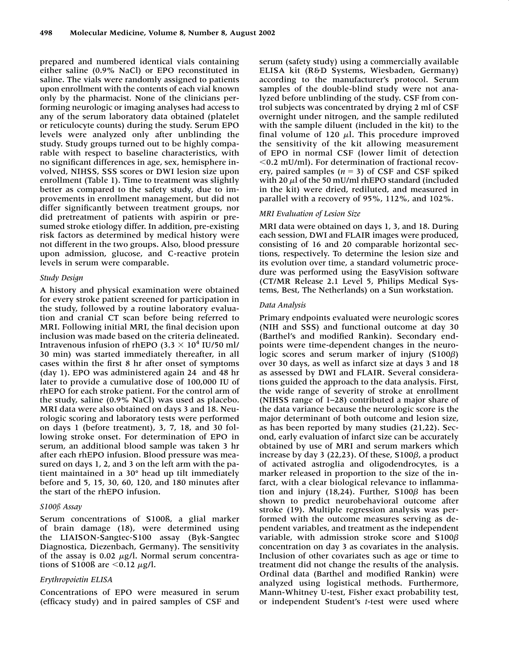prepared and numbered identical vials containing either saline (0.9% NaCl) or EPO reconstituted in saline. The vials were randomly assigned to patients upon enrollment with the contents of each vial known only by the pharmacist. None of the clinicians performing neurologic or imaging analyses had access to any of the serum laboratory data obtained (platelet or reticulocyte counts) during the study. Serum EPO levels were analyzed only after unblinding the study. Study groups turned out to be highly comparable with respect to baseline characteristics, with no significant differences in age, sex, hemisphere involved, NIHSS, SSS scores or DWI lesion size upon enrollment (Table 1). Time to treatment was slightly better as compared to the safety study, due to improvements in enrollment management, but did not differ significantly between treatment groups, nor did pretreatment of patients with aspirin or presumed stroke etiology differ. In addition, pre-existing risk factors as determined by medical history were not different in the two groups. Also, blood pressure upon admission, glucose, and C-reactive protein levels in serum were comparable.

#### *Study Design*

A history and physical examination were obtained for every stroke patient screened for participation in the study, followed by a routine laboratory evaluation and cranial CT scan before being referred to MRI. Following initial MRI, the final decision upon inclusion was made based on the criteria delineated. Intravenous infusion of rhEPO (3.3  $\times$  10<sup>4</sup> IU/50 ml/ 30 min) was started immediately thereafter, in all cases within the first 8 hr after onset of symptoms (day 1). EPO was administered again 24 and 48 hr later to provide a cumulative dose of 100,000 IU of rhEPO for each stroke patient. For the control arm of the study, saline (0.9% NaCl) was used as placebo. MRI data were also obtained on days 3 and 18. Neurologic scoring and laboratory tests were performed on days 1 (before treatment), 3, 7, 18, and 30 following stroke onset. For determination of EPO in serum, an additional blood sample was taken 3 hr after each rhEPO infusion. Blood pressure was measured on days 1, 2, and 3 on the left arm with the patient maintained in a 30° head up tilt immediately before and 5, 15, 30, 60, 120, and 180 minutes after the start of the rhEPO infusion.

#### *S100ß Assay*

Serum concentrations of S100ß, a glial marker of brain damage (18), were determined using the LIAISON-Sangtec-S100 assay (Byk-Sangtec Diagnostica, Diezenbach, Germany). The sensitivity of the assay is 0.02  $\mu$ g/l. Normal serum concentrations of S100ß are  $\leq 0.12 \mu g/l$ .

## *Erythropoietin ELISA*

Concentrations of EPO were measured in serum (efficacy study) and in paired samples of CSF and

serum (safety study) using a commercially available ELISA kit (R&D Systems, Wiesbaden, Germany) according to the manufacturer's protocol. Serum samples of the double-blind study were not analyzed before unblinding of the study. CSF from control subjects was concentrated by drying 2 ml of CSF overnight under nitrogen, and the sample rediluted with the sample diluent (included in the kit) to the final volume of 120  $\mu$ . This procedure improved the sensitivity of the kit allowing measurement of EPO in normal CSF (lower limit of detection  $0.2$  mU/ml). For determination of fractional recovery, paired samples  $(n = 3)$  of CSF and CSF spiked with 20  $\mu$ l of the 50 mU/ml rhEPO standard (included in the kit) were dried, rediluted, and measured in parallel with a recovery of 95%, 112%, and 102%.

# *MRI Evaluation of Lesion Size*

MRI data were obtained on days 1, 3, and 18. During each session, DWI and FLAIR images were produced, consisting of 16 and 20 comparable horizontal sections, respectively. To determine the lesion size and its evolution over time, a standard volumetric procedure was performed using the EasyVision software (CT/MR Release 2.1 Level 5, Philips Medical Systems, Best, The Netherlands) on a Sun workstation.

#### *Data Analysis*

Primary endpoints evaluated were neurologic scores (NIH and SSS) and functional outcome at day 30 (Barthel's and modified Rankin). Secondary endpoints were time-dependent changes in the neurologic scores and serum marker of injury (S100 $\beta$ ) over 30 days, as well as infarct size at days 3 and 18 as assessed by DWI and FLAIR. Several considerations guided the approach to the data analysis. First, the wide range of severity of stroke at enrollment (NIHSS range of 1–28) contributed a major share of the data variance because the neurologic score is the major determinant of both outcome and lesion size, as has been reported by many studies (21,22). Second, early evaluation of infarct size can be accurately obtained by use of MRI and serum markers which increase by day 3 (22,23). Of these, S100 $\beta$ , a product of activated astroglia and oligodendrocytes, is a marker released in proportion to the size of the infarct, with a clear biological relevance to inflammation and injury (18,24). Further, S100 $\beta$  has been shown to predict neurobehavioral outcome after stroke (19). Multiple regression analysis was performed with the outcome measures serving as dependent variables, and treatment as the independent variable, with admission stroke score and  $\text{S}100\beta$ concentration on day 3 as covariates in the analysis. Inclusion of other covariates such as age or time to treatment did not change the results of the analysis. Ordinal data (Barthel and modified Rankin) were analyzed using logistical methods. Furthermore, Mann-Whitney U-test, Fisher exact probability test, or independent Student's *t*-test were used where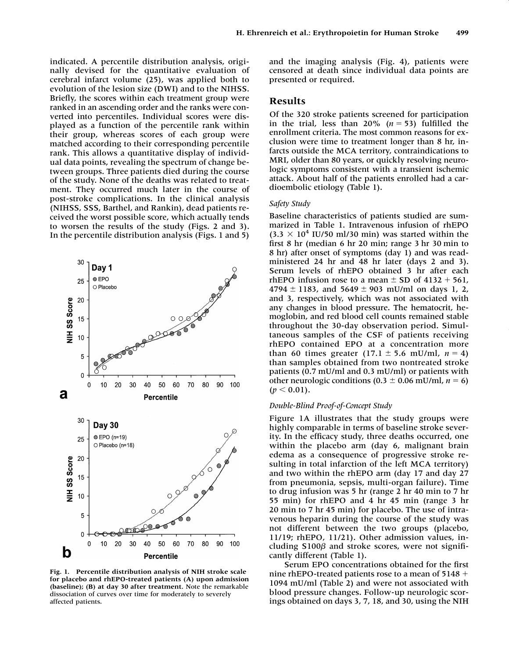indicated. A percentile distribution analysis, originally devised for the quantitative evaluation of cerebral infarct volume (25), was applied both to evolution of the lesion size (DWI) and to the NIHSS. Briefly, the scores within each treatment group were ranked in an ascending order and the ranks were converted into percentiles. Individual scores were displayed as a function of the percentile rank within their group, whereas scores of each group were matched according to their corresponding percentile rank. This allows a quantitative display of individual data points, revealing the spectrum of change between groups. Three patients died during the course of the study. None of the deaths was related to treatment. They occurred much later in the course of post-stroke complications. In the clinical analysis (NIHSS, SSS, Barthel, and Rankin), dead patients received the worst possible score, which actually tends to worsen the results of the study (Figs. 2 and 3). In the percentile distribution analysis (Figs. 1 and 5)



**Fig. 1. Percentile distribution analysis of NIH stroke scale for placebo and rhEPO-treated patients (A) upon admission (baseline); (B) at day 30 after treatment.** Note the remarkable dissociation of curves over time for moderately to severely affected patients.

and the imaging analysis (Fig. 4), patients were censored at death since individual data points are presented or required.

## **Results**

Of the 320 stroke patients screened for participation in the trial, less than  $20\%$  ( $n = 53$ ) fulfilled the enrollment criteria. The most common reasons for exclusion were time to treatment longer than 8 hr, infarcts outside the MCA territory, contraindications to MRI, older than 80 years, or quickly resolving neurologic symptoms consistent with a transient ischemic attack. About half of the patients enrolled had a cardioembolic etiology (Table 1).

#### *Safety Study*

Baseline characteristics of patients studied are summarized in Table 1. Intravenous infusion of rhEPO  $(3.3 \times 10^4$  IU/50 ml/30 min) was started within the first 8 hr (median 6 hr 20 min; range 3 hr 30 min to 8 hr) after onset of symptoms (day 1) and was readministered 24 hr and 48 hr later (days 2 and 3). Serum levels of rhEPO obtained 3 hr after each rhEPO infusion rose to a mean  $\pm$  SD of 4132 + 561,  $4794 \pm 1183$ , and  $5649 \pm 903$  mU/ml on days 1, 2, and 3, respectively, which was not associated with any changes in blood pressure. The hematocrit, hemoglobin, and red blood cell counts remained stable throughout the 30-day observation period. Simultaneous samples of the CSF of patients receiving rhEPO contained EPO at a concentration more than 60 times greater  $(17.1 \pm 5.6 \text{ mU/ml}, n = 4)$ than samples obtained from two nontreated stroke patients (0.7 mU/ml and 0.3 mU/ml) or patients with other neurologic conditions (0.3  $\pm$  0.06 mU/ml, *n* = 6)  $(p < 0.01)$ .

#### *Double-Blind Proof-of-Concept Study*

Figure 1A illustrates that the study groups were highly comparable in terms of baseline stroke severity. In the efficacy study, three deaths occurred, one within the placebo arm (day 6, malignant brain edema as a consequence of progressive stroke resulting in total infarction of the left MCA territory) and two within the rhEPO arm (day 17 and day 27 from pneumonia, sepsis, multi-organ failure). Time to drug infusion was 5 hr (range 2 hr 40 min to 7 hr 55 min) for rhEPO and 4 hr 45 min (range 3 hr 20 min to 7 hr 45 min) for placebo. The use of intravenous heparin during the course of the study was not different between the two groups (placebo, 11/19; rhEPO, 11/21). Other admission values, including S100 $\beta$  and stroke scores, were not significantly different (Table 1).

Serum EPO concentrations obtained for the first nine rhEPO-treated patients rose to a mean of  $5148 +$ 1094 mU/ml (Table 2) and were not associated with blood pressure changes. Follow-up neurologic scorings obtained on days 3, 7, 18, and 30, using the NIH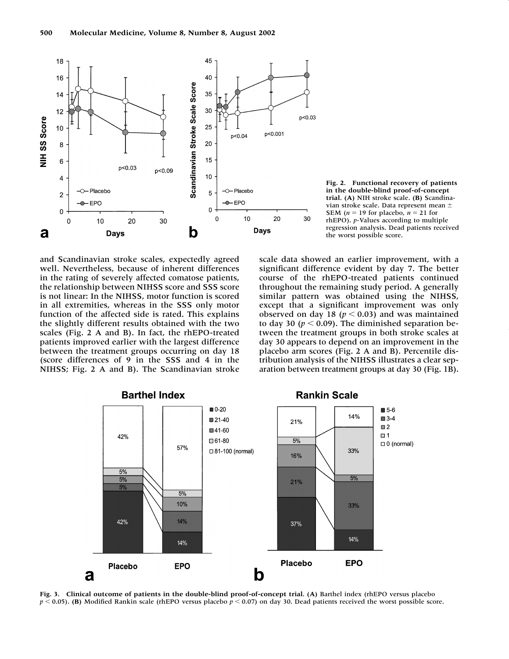

**Fig. 2. Functional recovery of patients in the double-blind proof-of-concept trial. (A)** NIH stroke scale. **(B)** Scandinavian stroke scale. Data represent mean **SEM** ( $n = 19$  for placebo,  $n = 21$  for rhEPO). *p*-Values according to multiple regression analysis. Dead patients received the worst possible score.

and Scandinavian stroke scales, expectedly agreed well. Nevertheless, because of inherent differences in the rating of severely affected comatose patients, the relationship between NIHSS score and SSS score is not linear: In the NIHSS, motor function is scored in all extremities, whereas in the SSS only motor function of the affected side is rated. This explains the slightly different results obtained with the two scales (Fig. 2 A and B). In fact, the rhEPO-treated patients improved earlier with the largest difference between the treatment groups occurring on day 18 (score differences of 9 in the SSS and 4 in the NIHSS; Fig. 2 A and B). The Scandinavian stroke

scale data showed an earlier improvement, with a significant difference evident by day 7. The better course of the rhEPO-treated patients continued throughout the remaining study period. A generally similar pattern was obtained using the NIHSS, except that a significant improvement was only observed on day 18 ( $p < 0.03$ ) and was maintained to day 30 ( $p < 0.09$ ). The diminished separation between the treatment groups in both stroke scales at day 30 appears to depend on an improvement in the placebo arm scores (Fig. 2 A and B). Percentile distribution analysis of the NIHSS illustrates a clear separation between treatment groups at day 30 (Fig. 1B).

![](_page_5_Figure_5.jpeg)

**Barthel Index** 

**Rankin Scale** 

**Fig. 3. Clinical outcome of patients in the double-blind proof-of-concept trial. (A)** Barthel index (rhEPO versus placebo  $p < 0.05$ ). **(B)** Modified Rankin scale (rhEPO versus placebo  $p < 0.07$ ) on day 30. Dead patients received the worst possible score.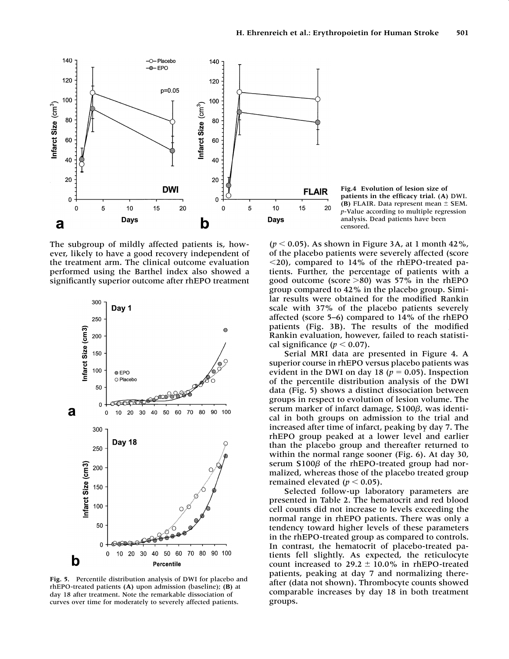![](_page_6_Figure_1.jpeg)

The subgroup of mildly affected patients is, however, likely to have a good recovery independent of the treatment arm. The clinical outcome evaluation performed using the Barthel index also showed a significantly superior outcome after rhEPO treatment

![](_page_6_Figure_3.jpeg)

**Fig. 5.** Percentile distribution analysis of DWI for placebo and rhEPO-treated patients **(A)** upon admission (baseline); **(B)** at day 18 after treatment. Note the remarkable dissociation of curves over time for moderately to severely affected patients.

**Fig.4 Evolution of lesion size of patients in the efficacy trial. (A)** DWI. **(B)** FLAIR. Data represent mean  $\pm$  SEM. *p*-Value according to multiple regression analysis. Dead patients have been censored.

 $(p < 0.05)$ . As shown in Figure 3A, at 1 month 42%, of the placebo patients were severely affected (score  $\langle 20 \rangle$ , compared to 14% of the rhEPO-treated patients. Further, the percentage of patients with a good outcome (score  $>80$ ) was 57% in the rhEPO group compared to 42% in the placebo group. Similar results were obtained for the modified Rankin scale with 37% of the placebo patients severely affected (score 5–6) compared to 14% of the rhEPO patients (Fig. 3B). The results of the modified Rankin evaluation, however, failed to reach statistical significance  $(p < 0.07)$ .

Serial MRI data are presented in Figure 4. A superior course in rhEPO versus placebo patients was evident in the DWI on day 18 ( $p = 0.05$ ). Inspection of the percentile distribution analysis of the DWI data (Fig. 5) shows a distinct dissociation between groups in respect to evolution of lesion volume. The serum marker of infarct damage, S100 $\beta$ , was identical in both groups on admission to the trial and increased after time of infarct, peaking by day 7. The rhEPO group peaked at a lower level and earlier than the placebo group and thereafter returned to within the normal range sooner (Fig. 6). At day 30, serum S100 $\beta$  of the rhEPO-treated group had normalized, whereas those of the placebo treated group remained elevated  $(p < 0.05)$ .

Selected follow-up laboratory parameters are presented in Table 2. The hematocrit and red blood cell counts did not increase to levels exceeding the normal range in rhEPO patients. There was only a tendency toward higher levels of these parameters in the rhEPO-treated group as compared to controls. In contrast, the hematocrit of placebo-treated patients fell slightly. As expected, the reticulocyte count increased to  $29.2 \pm 10.0\%$  in rhEPO-treated patients, peaking at day 7 and normalizing thereafter (data not shown). Thrombocyte counts showed comparable increases by day 18 in both treatment groups.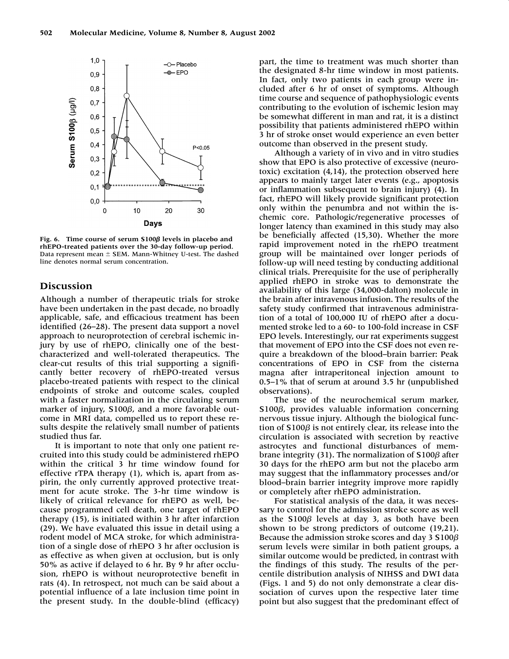![](_page_7_Figure_1.jpeg)

**Fig. 6.** Time course of serum S100 $\beta$  levels in placebo and **rhEPO-treated patients over the 30-day follow-up period.** Data represent mean  $\pm$  SEM. Mann-Whitney U-test. The dashed line denotes normal serum concentration.

## **Discussion**

Although a number of therapeutic trials for stroke have been undertaken in the past decade, no broadly applicable, safe, and efficacious treatment has been identified (26–28). The present data support a novel approach to neuroprotection of cerebral ischemic injury by use of rhEPO, clinically one of the bestcharacterized and well-tolerated therapeutics. The clear-cut results of this trial supporting a significantly better recovery of rhEPO-treated versus placebo-treated patients with respect to the clinical endpoints of stroke and outcome scales, coupled with a faster normalization in the circulating serum marker of injury, S100 $\beta$ , and a more favorable outcome in MRI data, compelled us to report these results despite the relatively small number of patients studied thus far.

It is important to note that only one patient recruited into this study could be administered rhEPO within the critical 3 hr time window found for effective rTPA therapy (1), which is, apart from aspirin, the only currently approved protective treatment for acute stroke. The 3-hr time window is likely of critical relevance for rhEPO as well, because programmed cell death, one target of rhEPO therapy (15), is initiated within 3 hr after infarction (29). We have evaluated this issue in detail using a rodent model of MCA stroke, for which administration of a single dose of rhEPO 3 hr after occlusion is as effective as when given at occlusion, but is only 50% as active if delayed to 6 hr. By 9 hr after occlusion, rhEPO is without neuroprotective benefit in rats (4). In retrospect, not much can be said about a potential influence of a late inclusion time point in the present study. In the double-blind (efficacy)

part, the time to treatment was much shorter than the designated 8-hr time window in most patients. In fact, only two patients in each group were included after 6 hr of onset of symptoms. Although time course and sequence of pathophysiologic events contributing to the evolution of ischemic lesion may be somewhat different in man and rat, it is a distinct possibility that patients administered rhEPO within 3 hr of stroke onset would experience an even better outcome than observed in the present study.

Although a variety of in vivo and in vitro studies show that EPO is also protective of excessive (neurotoxic) excitation (4,14), the protection observed here appears to mainly target later events (e.g., apoptosis or inflammation subsequent to brain injury) (4). In fact, rhEPO will likely provide significant protection only within the penumbra and not within the ischemic core. Pathologic/regenerative processes of longer latency than examined in this study may also be beneficially affected (15,30). Whether the more rapid improvement noted in the rhEPO treatment group will be maintained over longer periods of follow-up will need testing by conducting additional clinical trials. Prerequisite for the use of peripherally applied rhEPO in stroke was to demonstrate the availability of this large (34,000-dalton) molecule in the brain after intravenous infusion. The results of the safety study confirmed that intravenous administration of a total of 100,000 IU of rhEPO after a documented stroke led to a 60- to 100-fold increase in CSF EPO levels. Interestingly, our rat experiments suggest that movement of EPO into the CSF does not even require a breakdown of the blood–brain barrier: Peak concentrations of EPO in CSF from the cisterna magna after intraperitoneal injection amount to 0.5–1% that of serum at around 3.5 hr (unpublished observations).

The use of the neurochemical serum marker, S100 $\beta$ , provides valuable information concerning nervous tissue injury. Although the biological function of S100 $\beta$  is not entirely clear, its release into the circulation is associated with secretion by reactive astrocytes and functional disturbances of membrane integrity (31). The normalization of S100 $\beta$  after 30 days for the rhEPO arm but not the placebo arm may suggest that the inflammatory processes and/or blood–brain barrier integrity improve more rapidly or completely after rhEPO administration.

For statistical analysis of the data, it was necessary to control for the admission stroke score as well as the S100*β* levels at day 3, as both have been shown to be strong predictors of outcome (19,21). Because the admission stroke scores and day 3 S100 $\beta$ serum levels were similar in both patient groups, a similar outcome would be predicted, in contrast with the findings of this study. The results of the percentile distribution analysis of NIHSS and DWI data (Figs. 1 and 5) do not only demonstrate a clear dissociation of curves upon the respective later time point but also suggest that the predominant effect of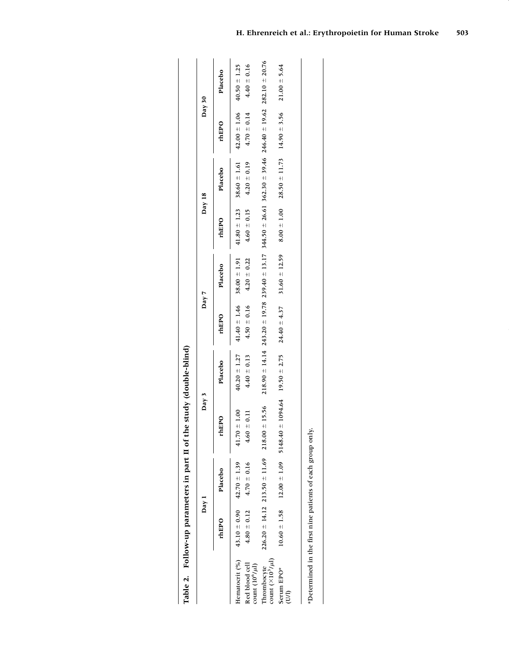Table 2. Follow-up parameters in part II of the study (double-blind) **Table 2. Follow-up parameters in part II of the study (double-blind)**

|                                                 | Day 1                                            |                                              | Day $3$            |                                | Day 7                                                                                                                                |                   | Day 18                            |                                    | Day $30$          |                  |
|-------------------------------------------------|--------------------------------------------------|----------------------------------------------|--------------------|--------------------------------|--------------------------------------------------------------------------------------------------------------------------------------|-------------------|-----------------------------------|------------------------------------|-------------------|------------------|
|                                                 | rhEPO                                            | Placebo                                      | rhEPO              | Placebo                        | rhEPO                                                                                                                                | Placebo           | rhEPO                             | Placebo                            | rhEP <sub>0</sub> | Placebo          |
|                                                 | Hematocrit (%) $43.10 \pm 0.90$ $42.70 \pm 1.39$ |                                              | ± 1.00<br>41.70    | $40.20 \pm 1.27$               | $41.40 \pm 1.46$ 38.00 $\pm$ 1.91                                                                                                    |                   | $41.80 \pm 1.23$ 38.60 $\pm 1.61$ |                                    | $42.00 \pm 1.06$  | $40.50 \pm 1.25$ |
| Red blood cell<br>:<br>ount $(10^6/\mu{\rm l})$ |                                                  | $4.80 \pm 0.12$ $4.70 \pm 0.16$              | $\pm 0.11$<br>4.60 | $4.40 \pm 0.13$                | $4.50 \pm 0.16$                                                                                                                      | $4.20 \pm 0.22$   | $4.60 \pm 0.15$                   | $4.20 \pm 0.19$                    | $4.70 \pm 0.14$   | $4.40 \pm 0.16$  |
| :ount $(\times 10^3/\mu l)$<br>hrombocyte       |                                                  | $226.20 \pm 14.12$ $213.50 \pm 11.69$ 218.00 | ± 15.56            |                                | $218.90 \pm 14.14$ $243.20 \pm 19.78$ $239.40 \pm 13.17$ $344.50 \pm 26.61$ $362.30 \pm 39.46$ $246.40 \pm 19.62$ $282.10 \pm 20.76$ |                   |                                   |                                    |                   |                  |
| Serum EPO*<br>UI)                               |                                                  | $10.60 \pm 1.58$ 12.00 $\pm$ 1.09            | 5148.40            | $\pm 1094.64$ 19.50 $\pm 2.75$ | $24.40 \pm 4.37$                                                                                                                     | $31.60 \pm 12.59$ | $8.00 \pm 1.00$                   | $28.50 \pm 11.73$ 14.90 $\pm$ 3.56 |                   | $21.00 \pm 5.64$ |
|                                                 |                                                  |                                              |                    |                                |                                                                                                                                      |                   |                                   |                                    |                   |                  |

\*Determined in the first nine patients of each group only. \*Determined in the first nine patients of each group only.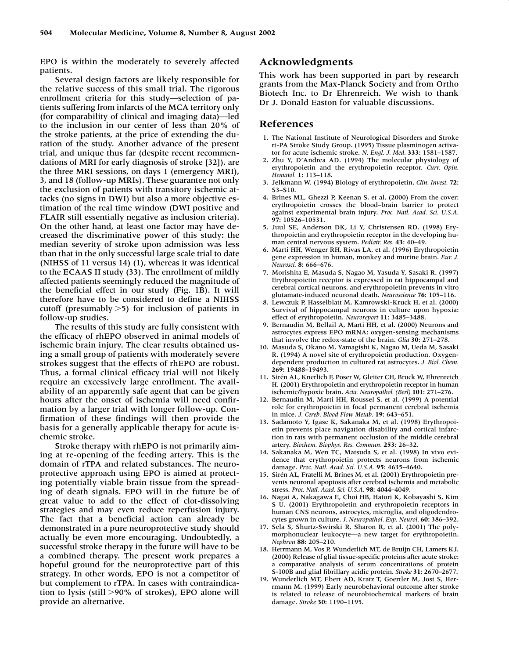EPO is within the moderately to severely affected patients.

Several design factors are likely responsible for the relative success of this small trial. The rigorous enrollment criteria for this study—selection of patients suffering from infarcts of the MCA territory only (for comparability of clinical and imaging data)—led to the inclusion in our center of less than 20% of the stroke patients, at the price of extending the duration of the study. Another advance of the present trial, and unique thus far (despite recent recommendations of MRI for early diagnosis of stroke [32]), are the three MRI sessions, on days 1 (emergency MRI), 3, and 18 (follow-up MRIs). These guarantee not only the exclusion of patients with transitory ischemic attacks (no signs in DWI) but also a more objective estimation of the real time window (DWI positive and FLAIR still essentially negative as inclusion criteria). On the other hand, at least one factor may have decreased the discriminative power of this study: the median severity of stroke upon admission was less than that in the only successful large scale trial to date (NIHSS of 11 versus 14) (1), whereas it was identical to the ECAAS II study (33). The enrollment of mildly affected patients seemingly reduced the magnitude of the beneficial effect in our study (Fig. 1B). It will therefore have to be considered to define a NIHSS cutoff (presumably  $>5$ ) for inclusion of patients in follow-up studies.

The results of this study are fully consistent with the efficacy of rhEPO observed in animal models of ischemic brain injury. The clear results obtained using a small group of patients with moderately severe strokes suggest that the effects of rhEPO are robust. Thus, a formal clinical efficacy trial will not likely require an excessively large enrollment. The availability of an apparently safe agent that can be given hours after the onset of ischemia will need confirmation by a larger trial with longer follow-up. Confirmation of these findings will then provide the basis for a generally applicable therapy for acute ischemic stroke.

Stroke therapy with rhEPO is not primarily aiming at re-opening of the feeding artery. This is the domain of rTPA and related substances. The neuroprotective approach using EPO is aimed at protecting potentially viable brain tissue from the spreading of death signals. EPO will in the future be of great value to add to the effect of clot-dissolving strategies and may even reduce reperfusion injury. The fact that a beneficial action can already be demonstrated in a pure neuroprotective study should actually be even more encouraging. Undoubtedly, a successful stroke therapy in the future will have to be a combined therapy. The present work prepares a hopeful ground for the neuroprotective part of this strategy. In other words, EPO is not a competitor of but complement to rTPA. In cases with contraindication to lysis (still  $>90\%$  of strokes), EPO alone will provide an alternative.

## **Acknowledgments**

This work has been supported in part by research grants from the Max-Planck Society and from Ortho Biotech Inc. to Dr Ehrenreich. We wish to thank Dr J. Donald Easton for valuable discussions.

#### **References**

- 1. The National Institute of Neurological Disorders and Stroke rt-PA Stroke Study Group. (1995) Tissue plasminogen activator for acute ischemic stroke. *N. Engl. J. Med.* **333:** 1581–1587.
- 2. Zhu Y, D'Andrea AD. (1994) The molecular physiology of erythropoietin and the erythropoietin receptor. *Curr. Opin. Hematol.* **1:** 113–118.
- 3. Jelkmann W. (1994) Biology of erythropoietin. *Clin. Invest.* **72:** S3–S10.
- 4. Brines ML, Ghezzi P, Keenan S, et al. (2000) From the cover: erythropoietin crosses the blood–brain barrier to protect against experimental brain injury. *Proc. Natl. Acad. Sci. U.S.A.* **97:** 10526–10531.
- 5. Juul SE, Anderson DK, Li Y, Christensen RD. (1998) Erythropoietin and erythropoietin receptor in the developing human central nervous system. *Pediatr. Res.* **43:** 40–49.
- 6. Marti HH, Wenger RH, Rivas LA, et al. (1996) Erythropoietin gene expression in human, monkey and murine brain. *Eur. J. Neurosci.* **8:** 666–676.
- 7. Morishita E, Masuda S, Nagao M, Yasuda Y, Sasaki R. (1997) Erythropoietin receptor is expressed in rat hippocampal and cerebral cortical neurons, and erythropoietin prevents in vitro glutamate-induced neuronal death. *Neuroscience* **76:** 105–116.
- 8. Lewczuk P, Hasselblatt M, Kamrowski-Kruck H, et al. (2000) Survival of hippocampal neurons in culture upon hypoxia: effect of erythropoietin. *Neuroreport* **11:** 3485–3488.
- 9. Bernaudin M, Bellail A, Marti HH, et al. (2000) Neurons and astrocytes express EPO mRNA: oxygen-sensing mechanisms that involve the redox-state of the brain. *Glia* **30:** 271–278.
- 10. Masuda S, Okano M, Yamagishi K, Nagao M, Ueda M, Sasaki R. (1994) A novel site of erythropoietin production. Oxygendependent production in cultured rat astrocytes. *J. Biol. Chem.* **269:** 19488–19493.
- 11. Sirén AL, Knerlich F, Poser W, Gleiter CH, Bruck W, Ehrenreich H. (2001) Erythropoietin and erythropoietin receptor in human ischemic/hypoxic brain. *Acta. Neuropathol. (Berl)* **101:** 271–276.
- 12. Bernaudin M, Marti HH, Roussel S, et al. (1999) A potential role for erythropoietin in focal permanent cerebral ischemia in mice. *J. Cereb. Blood Flow Metab.* **19:** 643–651.
- 13. Sadamoto Y, Igase K, Sakanaka M, et al. (1998) Erythropoietin prevents place navigation disability and cortical infarction in rats with permanent occlusion of the middle cerebral artery. *Biochem. Biophys. Res. Commun.* **253:** 26–32.
- 14. Sakanaka M, Wen TC, Matsuda S, et al. (1998) In vivo evidence that erythropoietin protects neurons from ischemic damage. *Proc. Natl. Acad. Sci. U.S.A.* **95:** 4635–4640.
- 15. Sirén AL, Fratelli M, Brines M, et al. (2001) Erythropoietin prevents neuronal apoptosis after cerebral ischemia and metabolic stress. *Proc. Natl. Acad. Sci. U.S.A.* **98:** 4044–4049.
- 16. Nagai A, Nakagawa E, Choi HB, Hatori K, Kobayashi S, Kim S U. (2001) Erythropoietin and erythropoietin receptors in human CNS neurons, astrocytes, microglia, and oligodendrocytes grown in culture. *J. Neuropathol. Exp. Neurol.* **60:** 386–392.
- 17. Sela S, Shurtz-Swirski R, Sharon R, et al. (2001) The polymorphonuclear leukocyte—a new target for erythropoietin. *Nephron* **88:** 205–210.
- 18. Herrmann M, Vos P, Wunderlich MT, de Bruijn CH, Lamers KJ. (2000) Release of glial tissue-specific proteins after acute stroke: a comparative analysis of serum concentrations of protein S-100B and glial fibrillary acidic protein. *Stroke* **31:** 2670–2677.
- 19. Wunderlich MT, Ebert AD, Kratz T, Goertler M, Jost S, Herrmann M. (1999) Early neurobehavioral outcome after stroke is related to release of neurobiochemical markers of brain damage. *Stroke* **30:** 1190–1195.